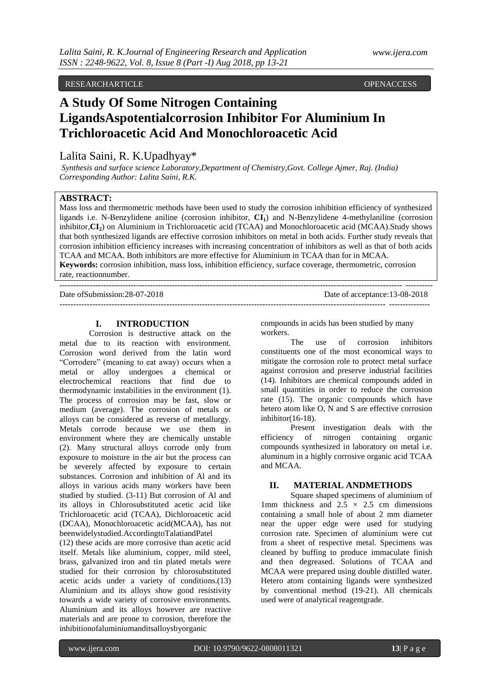RESEARCHARTICLE OPENACCESS

# **A Study Of Some Nitrogen Containing LigandsAspotentialcorrosion Inhibitor For Aluminium In Trichloroacetic Acid And Monochloroacetic Acid**

## Lalita Saini, R. K.Upadhyay\*

*Synthesis and surface science Laboratory,Department of Chemistry,Govt. College Ajmer, Raj. (India) Corresponding Author: Lalita Saini, R.K.*

## **ABSTRACT:**

Mass loss and thermometric methods have been used to study the corrosion inhibition efficiency of synthesized ligands i.e. N-Benzylidene aniline (corrosion inhibitor, **CI1**) and N-Benzylidene 4-methylaniline (corrosion inhibitor,**CI2**) on Aluminium in Trichloroacetic acid (TCAA) and Monochloroacetic acid (MCAA).Study shows that both synthesized ligands are effective corrosion inhibitors on metal in both acids. Further study reveals that corrosion inhibition efficiency increases with increasing concentration of inhibitors as well as that of both acids TCAA and MCAA. Both inhibitors are more effective for Aluminium in TCAA than for in MCAA. **Keywords:** corrosion inhibition, mass loss, inhibition efficiency, surface coverage, thermometric, corrosion rate, reactionnumber.

Date of Submission: 28-07-2018 Date of acceptance: 13-08-2018

----------------------------------------------------------------------------------------------------------------------------- ---------- ----------------------------------------------------------------------------------------------------------------------- ---------------

### **I. INTRODUCTION**

Corrosion is destructive attack on the metal due to its reaction with environment. Corrosion word derived from the latin word "Corrodere" (meaning to eat away) occurs when a metal or alloy undergoes a chemical or electrochemical reactions that find due to thermodynamic instabilities in the environment (1). The process of corrosion may be fast, slow or medium (average). The corrosion of metals or alloys can be considered as reverse of metallurgy. Metals corrode because we use them in environment where they are chemically unstable (2). Many structural alloys corrode only from exposure to moisture in the air but the process can be severely affected by exposure to certain substances. Corrosion and inhibition of Al and its alloys in various acids many workers have been studied by studied. (3-11) But corrosion of Al and its alloys in Chlorosubstituted acetic acid like Trichloroacetic acid (TCAA), Dichloroacetic acid (DCAA), Monochloroacetic acid(MCAA), has not beenwidelystudied.AccordingtoTalatiandPatel

(12) these acids are more corrosive than acetic acid itself. Metals like aluminium, copper, mild steel, brass, galvanized iron and tin plated metals were studied for their corrosion by chlorosubstituted acetic acids under a variety of conditions.(13) Aluminium and its alloys show good resistivity towards a wide variety of corrosive environments. Aluminium and its alloys however are reactive materials and are prone to corrosion, therefore the inhibitionofaluminiumanditsalloysbyorganic

compounds in acids has been studied by many workers.

The use of corrosion inhibitors constituents one of the most economical ways to mitigate the corrosion role to protect metal surface against corrosion and preserve industrial facilities (14). Inhibitors are chemical compounds added in small quantities in order to reduce the corrosion rate (15). The organic compounds which have hetero atom like O, N and S are effective corrosion inhibitor(16-18).

Present investigation deals with the efficiency of nitrogen containing organic compounds synthesized in laboratory on metal i.e. aluminum in a highly corrosive organic acid TCAA and MCAA.

#### **II. MATERIAL ANDMETHODS**

Square shaped specimens of aluminium of 1mm thickness and  $2.5 \times 2.5$  cm dimensions containing a small hole of about 2 mm diameter near the upper edge were used for studying corrosion rate. Specimen of aluminium were cut from a sheet of respective metal. Specimens was cleaned by buffing to produce immaculate finish and then degreased. Solutions of TCAA and MCAA were prepared using double distilled water. Hetero atom containing ligands were synthesized by conventional method (19-21). All chemicals used were of analytical reagentgrade.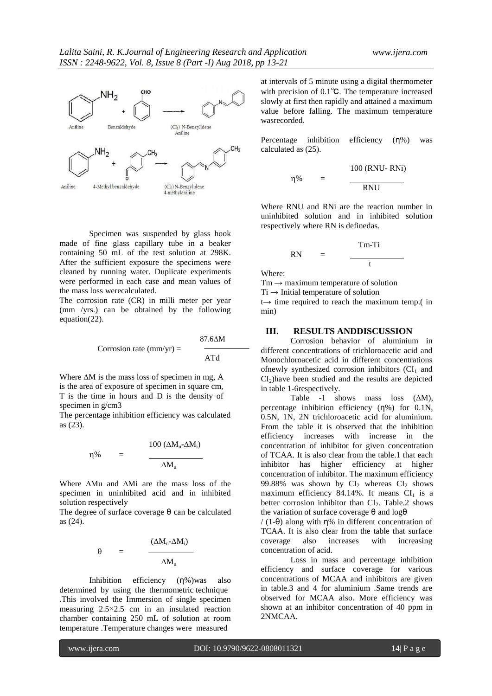

Specimen was suspended by glass hook made of fine glass capillary tube in a beaker containing 50 mL of the test solution at 298K. After the sufficient exposure the specimens were cleaned by running water. Duplicate experiments were performed in each case and mean values of the mass loss werecalculated.

The corrosion rate (CR) in milli meter per year (mm /yrs.) can be obtained by the following equation(22).

Corrosion rate (mm/yr) = 
$$
\frac{87.6 \Delta M}{ATd}
$$

Where ∆M is the mass loss of specimen in mg, A is the area of exposure of specimen in square cm, T is the time in hours and D is the density of specimen in g/cm3

The percentage inhibition efficiency was calculated as (23).

$$
\eta\% = \frac{100\ (\Delta M_u - \Delta M_i)}{\Delta M_u}
$$

Where ∆Mu and ∆Mi are the mass loss of the specimen in uninhibited acid and in inhibited solution respectively

The degree of surface coverage  $\theta$  can be calculated as (24).

$$
\theta = \frac{(\Delta M_u - \Delta M_i)}{\Delta M_u}
$$

Inhibition efficiency (η%)was also determined by using the thermometric technique .This involved the Immersion of single specimen measuring 2.5×2.5 cm in an insulated reaction chamber containing 250 mL of solution at room temperature .Temperature changes were measured

at intervals of 5 minute using a digital thermometer with precision of 0.1℃. The temperature increased slowly at first then rapidly and attained a maximum value before falling. The maximum temperature wasrecorded.

Percentage inhibition efficiency (η%) was calculated as (25).

$$
\eta\% = \frac{100 \text{ (RNU-RNi)}}{\text{RNU}}
$$

Where RNU and RNi are the reaction number in uninhibited solution and in inhibited solution respectively where RN is definedas.

Tm-Ti

t

$$
RN =
$$

Where:

 $Tm \rightarrow$  maximum temperature of solution

 $Ti \rightarrow$  Initial temperature of solution

t→ time required to reach the maximum temp.( in min)

## **III. RESULTS ANDDISCUSSION**

Corrosion behavior of aluminium in different concentrations of trichloroacetic acid and Monochloroacetic acid in different concentrations ofnewly synthesized corrosion inhibitors  $(Cl<sub>1</sub>$  and  $CI<sub>2</sub>$ )have been studied and the results are depicted in table 1-6respectively.

Table -1 shows mass loss (∆M), percentage inhibition efficiency (η%) for 0.1N, 0.5N, 1N, 2N trichloroacetic acid for aluminium. From the table it is observed that the inhibition efficiency increases with increase in the concentration of inhibitor for given concentration of TCAA. It is also clear from the table.1 that each inhibitor has higher efficiency at higher concentration of inhibitor. The maximum efficiency 99.88% was shown by  $CI_2$  whereas  $CI_2$  shows maximum efficiency 84.14%. It means  $CI<sub>1</sub>$  is a better corrosion inhibitor than  $CI<sub>2</sub>$ . Table.2 shows the variation of surface coverage  $θ$  and log $θ$ 

/ (1-θ) along with η% in different concentration of TCAA. It is also clear from the table that surface coverage also increases with increasing concentration of acid.

Loss in mass and percentage inhibition efficiency and surface coverage for various concentrations of MCAA and inhibitors are given in table.3 and 4 for aluminium .Same trends are observed for MCAA also. More efficiency was shown at an inhibitor concentration of 40 ppm in 2NMCAA.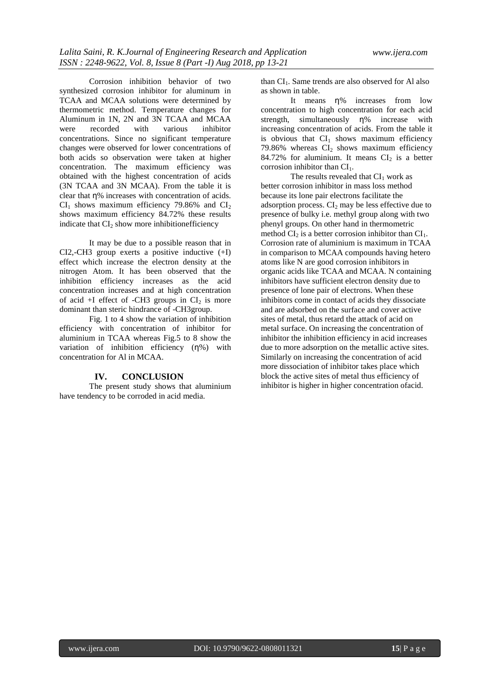Corrosion inhibition behavior of two synthesized corrosion inhibitor for aluminum in TCAA and MCAA solutions were determined by thermometric method. Temperature changes for Aluminum in 1N, 2N and 3N TCAA and MCAA were recorded with various inhibitor concentrations. Since no significant temperature changes were observed for lower concentrations of both acids so observation were taken at higher concentration. The maximum efficiency was obtained with the highest concentration of acids (3N TCAA and 3N MCAA). From the table it is clear that η% increases with concentration of acids.  $CI<sub>1</sub>$  shows maximum efficiency 79.86% and  $CI<sub>2</sub>$ shows maximum efficiency 84.72% these results indicate that  $CI_2$  show more inhibitionefficiency

It may be due to a possible reason that in CI2,-CH3 group exerts a positive inductive (+I) effect which increase the electron density at the nitrogen Atom. It has been observed that the inhibition efficiency increases as the acid concentration increases and at high concentration of acid +I effect of -CH3 groups in  $CI<sub>2</sub>$  is more dominant than steric hindrance of -CH3group.

Fig. 1 to 4 show the variation of inhibition efficiency with concentration of inhibitor for aluminium in TCAA whereas Fig.5 to 8 show the variation of inhibition efficiency (η%) with concentration for Al in MCAA.

#### **IV. CONCLUSION**

The present study shows that aluminium have tendency to be corroded in acid media.

than CI<sub>1</sub>. Same trends are also observed for Al also as shown in table.

It means η% increases from low concentration to high concentration for each acid strength, simultaneously η% increase with increasing concentration of acids. From the table it is obvious that  $CI_1$  shows maximum efficiency 79.86% whereas  $CI<sub>2</sub>$  shows maximum efficiency 84.72% for aluminium. It means  $CI<sub>2</sub>$  is a better corrosion inhibitor than  $CI<sub>1</sub>$ .

The results revealed that  $CI<sub>1</sub>$  work as better corrosion inhibitor in mass loss method because its lone pair electrons facilitate the adsorption process.  $CI_2$  may be less effective due to presence of bulky i.e. methyl group along with two phenyl groups. On other hand in thermometric method  $CI_2$  is a better corrosion inhibitor than  $CI_1$ . Corrosion rate of aluminium is maximum in TCAA in comparison to MCAA compounds having hetero atoms like N are good corrosion inhibitors in organic acids like TCAA and MCAA. N containing inhibitors have sufficient electron density due to presence of lone pair of electrons. When these inhibitors come in contact of acids they dissociate and are adsorbed on the surface and cover active sites of metal, thus retard the attack of acid on metal surface. On increasing the concentration of inhibitor the inhibition efficiency in acid increases due to more adsorption on the metallic active sites. Similarly on increasing the concentration of acid more dissociation of inhibitor takes place which block the active sites of metal thus efficiency of inhibitor is higher in higher concentration ofacid.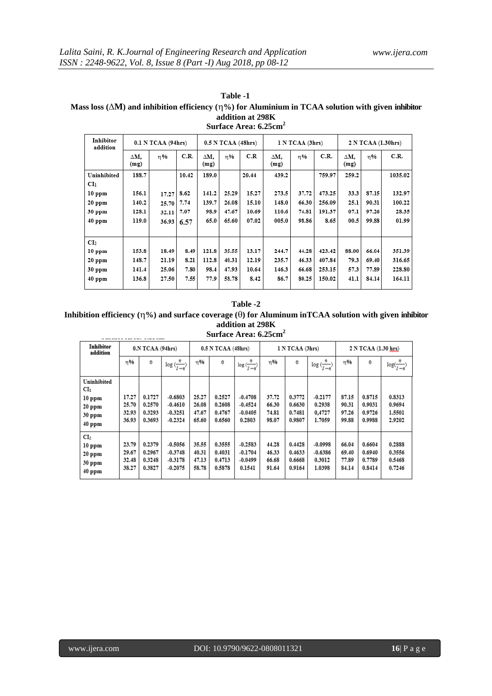| Table -1                                                                                                          |
|-------------------------------------------------------------------------------------------------------------------|
| Mass loss ( $\Delta$ M) and inhibition efficiency ( $\eta$ %) for Aluminium in TCAA solution with given inhibitor |
| addition at 298K                                                                                                  |
| Surface Area: 6.25cm <sup>2</sup>                                                                                 |

| Inhibitor<br>addition | 0.1 N TCAA (94hrs) |       |       | 0.5 N TCAA (48hrs) |       |       | 1 N TCAA (3hrs) |       |        | 2 N TCAA (1.30hrs) |       |         |
|-----------------------|--------------------|-------|-------|--------------------|-------|-------|-----------------|-------|--------|--------------------|-------|---------|
|                       | ΔМ.<br>(mg)        | η%    | C.R.  | ΔM.<br>(mg)        | η%    | C.R   | ΔМ.<br>(mg)     | η%    | C.R.   | ΔM.<br>(mg)        | η%    | C.R.    |
| Uninhibited           | 188.7              |       | 10.42 | 189.0              |       | 20.44 | 439.2           |       | 759.97 | 259.2              |       | 1035.02 |
| CI <sub>1</sub>       |                    |       |       |                    |       |       |                 |       |        |                    |       |         |
| 10 ppm                | 156.1              | 17.27 | 8.62  | 141.2              | 25.29 | 15.27 | 273.5           | 37.72 | 473.25 | 33.3               | 87.15 | 132.97  |
| $20$ ppm              | 140.2              | 25.70 | 7.74  | 139.7              | 26.08 | 15.10 | 148.0           | 66.30 | 256.09 | 25.1               | 90.31 | 100.22  |
| 30 ppm                | 128.1              | 32.11 | 7.07  | 98.9               | 47.67 | 10.69 | 110.6           | 74.81 | 191.37 | 07.1               | 97.26 | 28.35   |
| 40 ppm                | 119.0              | 36.93 | 6.57  | 65.0               | 65.60 | 07.02 | 005.0           | 98.86 | 8.65   | 00.5               | 99.88 | 01.99   |
|                       |                    |       |       |                    |       |       |                 |       |        |                    |       |         |
| CI <sub>2</sub>       |                    |       |       |                    |       |       |                 |       |        |                    |       |         |
| $10$ ppm              | 153.8              | 18.49 | 8.49  | 121.8              | 35.55 | 13.17 | 244.7           | 44.28 | 423.42 | 88.00              | 66.04 | 351.39  |
| 20 ppm                | 148.7              | 21.19 | 8.21  | 112.8              | 40.31 | 12.19 | 235.7           | 46.33 | 407.84 | 79.3               | 69.40 | 316.65  |
| $30$ ppm              | 141.4              | 25.06 | 7.80  | 98.4               | 47.93 | 10.64 | 146.3           | 66.68 | 253.15 | 57.3               | 77.89 | 228.80  |
| 40 ppm                | 136.8              | 27.50 | 7.55  | 77.9               | 58.78 | 8.42  | 86.7            | 80.25 | 150.02 | 41.1               | 84.14 | 164.11  |

## **Table -2**

Inhibition efficiency  $(\eta\%)$  and surface coverage  $(\theta)$  for Aluminum inTCAA solution with given inhibitor **addition at 298K Surface Area: 6.25cm<sup>2</sup>**

| <b>Inhibitor</b><br>addition                                               | 0.N TCAA (94hrs)                 |                                      |                                                  | 0.5 N TCAA (48hrs)               |                                      |                                               | 1 N TCAA (3hrs)                  |                                      |                                            | 2 N TCAA (1.30 hrs)              |                                      |                                      |
|----------------------------------------------------------------------------|----------------------------------|--------------------------------------|--------------------------------------------------|----------------------------------|--------------------------------------|-----------------------------------------------|----------------------------------|--------------------------------------|--------------------------------------------|----------------------------------|--------------------------------------|--------------------------------------|
|                                                                            | η%                               | θ                                    | $\log(\frac{\theta}{1-\theta})$                  | η%                               | θ                                    | ð<br>$\log(\frac{1}{1-\theta})$               | η%                               | θ                                    | $\log(\frac{e}{1-e})$                      | η%                               | θ                                    | $log(\frac{1}{1-\theta})$            |
| Uninhibited<br>$\rm{CI_{1}}$<br>$10$ ppm<br>$20$ ppm<br>$30$ ppm<br>40 ppm | 17.27<br>25.70<br>32.93<br>36.93 | 0.1727<br>0.2570<br>0.3293<br>0.3693 | $-0.6803$<br>$-0.4610$<br>$-0.3251$<br>$-0.2324$ | 25.27<br>26.08<br>47.67<br>65.60 | 0.2527<br>0.2608<br>0.4767<br>0.6560 | $-0.4708$<br>$-0.4524$<br>$-0.0405$<br>0.2803 | 37.72<br>66.30<br>74.81<br>98.07 | 0.3772<br>0.6630<br>0.7481<br>0.9807 | $-0.2177$<br>0.2938<br>0,4727<br>1.7059    | 87.15<br>90.31<br>97.26<br>99.88 | 0.8715<br>0.9031<br>0.9726<br>0.9988 | 0.8313<br>0.9694<br>1.5501<br>2.9202 |
| CI <sub>2</sub><br>10 ppm<br>$20$ ppm<br><b>30 ppm</b><br>40 ppm           | 23.79<br>29.67<br>32.48<br>38.27 | 0.2379<br>0.2967<br>0.3248<br>0.3827 | $-0.5056$<br>$-0.3748$<br>$-0.3178$<br>$-0.2075$ | 35.55<br>40.31<br>47.13<br>58.78 | 0.3555<br>0.4031<br>0.4713<br>0.5878 | $-0.2583$<br>$-0.1704$<br>$-0.0499$<br>0.1541 | 44.28<br>46.33<br>66.68<br>91.64 | 0.4428<br>0.4633<br>0.6668<br>0.9164 | $-0.0998$<br>$-0.6386$<br>0.3012<br>1.0398 | 66.04<br>69.40<br>77.89<br>84.14 | 0.6604<br>0.6940<br>0.7789<br>0.8414 | 0.2888<br>0.3556<br>0.5468<br>0.7246 |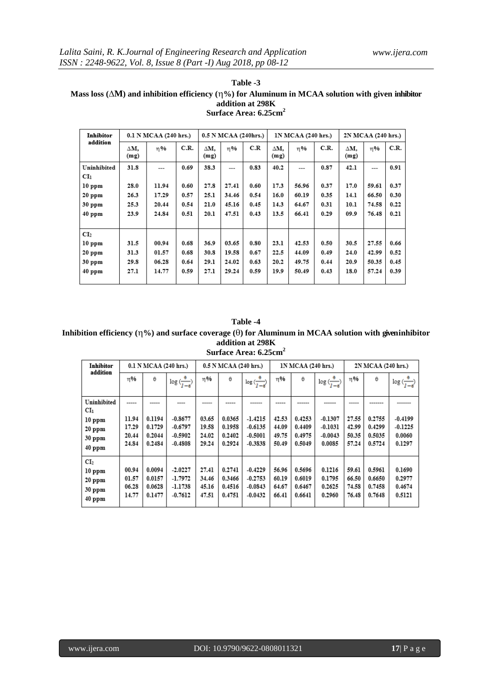| Table -3                                                                                                       |
|----------------------------------------------------------------------------------------------------------------|
| Mass loss $(\Delta M)$ and inhibition efficiency $(\eta\%)$ for Aluminum in MCAA solution with given inhibitor |
| addition at 298K                                                                                               |
| Surface Area: 6.25cm <sup>2</sup>                                                                              |

| Inhibitor                |             | 0.1 N MCAA (240 hrs.) | 0.5 N MCAA (240hrs.) |             |                |      | 1N MCAA (240 hrs.) |       | 2N MCAA (240 hrs.) |             |                          |      |
|--------------------------|-------------|-----------------------|----------------------|-------------|----------------|------|--------------------|-------|--------------------|-------------|--------------------------|------|
| addition                 | ΔМ.<br>(mg) | n%                    | C.R.                 | ΔМ.<br>(mg) | n%             | C.R  | ΔМ.<br>(mg)        | n%    | C.R.               | ΔM.<br>(mg) | η%                       | C.R. |
| Uninhibited              | 31.8        |                       | 0.69                 | 38.3        | $\overline{a}$ | 0.83 | 40.2               |       | 0.87               | 42.1        | $\overline{\phantom{a}}$ | 0.91 |
| $\mathbf{C}\mathbf{I}_1$ |             |                       |                      |             |                |      |                    |       |                    |             |                          |      |
| $10$ ppm                 | 28.0        | 11.94                 | 0.60                 | 27.8        | 27.41          | 0.60 | 17.3               | 56.96 | 0.37               | 17.0        | 59.61                    | 0.37 |
| $20$ ppm                 | 26.3        | 17.29                 | 0.57                 | 25.1        | 34.46          | 0.54 | 16.0               | 60.19 | 0.35               | 14.1        | 66.50                    | 0.30 |
| $30$ ppm                 | 25.3        | 20.44                 | 0.54                 | 21.0        | 45.16          | 0.45 | 14.3               | 64.67 | 0.31               | 10.1        | 74.58                    | 0.22 |
| $40$ ppm                 | 23.9        | 24.84                 | 0.51                 | 20.1        | 47.51          | 0.43 | 13.5               | 66.41 | 0.29               | 09.9        | 76.48                    | 0.21 |
|                          |             |                       |                      |             |                |      |                    |       |                    |             |                          |      |
| CI <sub>2</sub>          |             |                       |                      |             |                |      |                    |       |                    |             |                          |      |
| $10$ ppm                 | 31.5        | 00.94                 | 0.68                 | 36.9        | 03.65          | 0.80 | 23.1               | 42.53 | 0.50               | 30.5        | 27.55                    | 0.66 |
| $20$ ppm                 | 31.3        | 01.57                 | 0.68                 | 30.8        | 19.58          | 0.67 | 22.5               | 44.09 | 0.49               | 24.0        | 42.99                    | 0.52 |
| 30 ppm                   | 29.8        | 06.28                 | 0.64                 | 29.1        | 24.02          | 0.63 | 20.2               | 49.75 | 0.44               | 20.9        | 50.35                    | 0.45 |
| 40 ppm                   | 27.1        | 14.77                 | 0.59                 | 27.1        | 29.24          | 0.59 | 19.9               | 50.49 | 0.43               | 18.0        | 57.24                    | 0.39 |
|                          |             |                       |                      |             |                |      |                    |       |                    |             |                          |      |

| Table -4                                                                                                            |
|---------------------------------------------------------------------------------------------------------------------|
| Inhibition efficiency $(\eta\%)$ and surface coverage $(\theta)$ for Aluminum in MCAA solution with given inhibitor |
| addition at 298K                                                                                                    |
| Surface Area: 6.25cm <sup>2</sup>                                                                                   |

| Inhibitor<br>addition                                       | 0.1 N MCAA (240 hrs.)            |                                      |                                                  | 0.5 N MCAA (240 hrs.)            |                                      |                                                  |                                  | <b>IN MCAA (240 hrs.)</b>            |                                               | 2N MCAA (240 hrs.)               |                                      |                                            |
|-------------------------------------------------------------|----------------------------------|--------------------------------------|--------------------------------------------------|----------------------------------|--------------------------------------|--------------------------------------------------|----------------------------------|--------------------------------------|-----------------------------------------------|----------------------------------|--------------------------------------|--------------------------------------------|
|                                                             | n%                               | θ                                    | $\log(\frac{1}{1-a})$                            | n%                               | θ                                    | $\log(\frac{1}{1-\theta})$                       | n%                               | θ                                    | $\log(\frac{1}{1-\theta})$                    | η%                               | θ                                    | $\log\left(\frac{1}{1-a}\right)$           |
| Uninhibited<br>CI <sub>1</sub>                              |                                  |                                      |                                                  |                                  |                                      |                                                  |                                  |                                      |                                               |                                  |                                      |                                            |
| 10 ppm<br>20 ppm<br>30 ppm<br>$40$ ppm                      | 11.94<br>17.29<br>20.44<br>24.84 | 0.1194<br>0.1729<br>0.2044<br>0.2484 | $-0.8677$<br>$-0.6797$<br>-0.5902<br>$-0.4808$   | 03.65<br>19.58<br>24.02<br>29.24 | 0.0365<br>0.1958<br>0.2402<br>0.2924 | $-1.4215$<br>$-0.6135$<br>$-0.5001$<br>$-0.3838$ | 42.53<br>44.09<br>49.75<br>50.49 | 0.4253<br>0.4409<br>0.4975<br>0.5049 | $-0.1307$<br>$-0.1031$<br>$-0.0043$<br>0.0085 | 27.55<br>42.99<br>50.35<br>57.24 | 0.2755<br>0.4299<br>0.5035<br>0.5724 | $-0.4199$<br>$-0.1225$<br>0.0060<br>0.1297 |
| CI <sub>2</sub><br>$10$ ppm<br>20 ppm<br>30 ppm<br>$40$ ppm | 00.94<br>01.57<br>06.28<br>14.77 | 0.0094<br>0.0157<br>0.0628<br>0.1477 | $-2.0227$<br>$-1.7972$<br>$-1.1738$<br>$-0.7612$ | 27.41<br>34.46<br>45.16<br>47.51 | 0.2741<br>0.3466<br>0.4516<br>0.4751 | $-0.4229$<br>$-0.2753$<br>$-0.0843$<br>$-0.0432$ | 56.96<br>60.19<br>64.67<br>66.41 | 0.5696<br>0.6019<br>0.6467<br>0.6641 | 0.1216<br>0.1795<br>0.2625<br>0.2960          | 59.61<br>66.50<br>74.58<br>76.48 | 0.5961<br>0.6650<br>0.7458<br>0.7648 | 0.1690<br>0.2977<br>0.4674<br>0.5121       |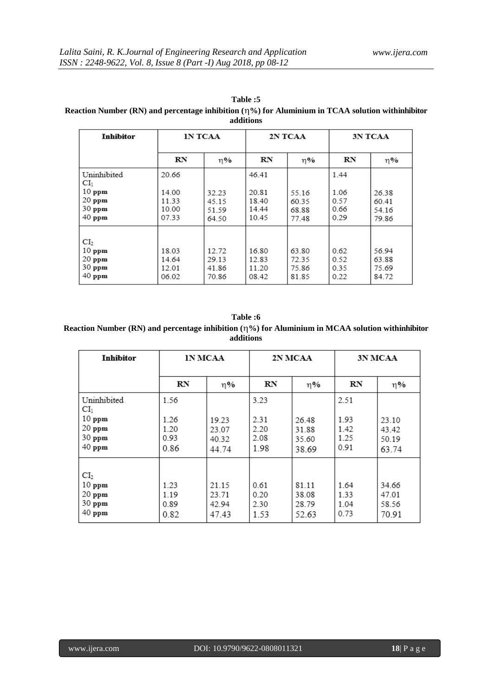| Inhibitor                      | <b>IN TCAA</b> |       |           | 2N TCAA | <b>3N TCAA</b> |       |  |
|--------------------------------|----------------|-------|-----------|---------|----------------|-------|--|
|                                | RN             | η%    | <b>RN</b> | η%      | <b>RN</b>      | η%    |  |
| Uninhibited<br>CI <sub>1</sub> | 20.66          |       | 46.41     |         | 1.44           |       |  |
| $10$ ppm                       | 14.00          | 32.23 | 20.81     | 55.16   | 1.06           | 26.38 |  |
| 20 ppm                         | 11.33          | 45.15 | 18.40     | 60.35   | 0.57           | 60.41 |  |
| 30 ppm                         | 10.00          | 51.59 | 14.44     | 68.88   | 0.66           | 54.16 |  |
| 40 ppm                         | 07.33          | 64.50 | 10.45     | 77.48   | 0.29           | 79.86 |  |
| CI <sub>2</sub>                |                |       |           |         |                |       |  |
| $10$ ppm                       | 18.03          | 12.72 | 16.80     | 63.80   | 0.62           | 56.94 |  |
| 20 ppm                         | 14.64          | 29.13 | 12.83     | 72.35   | 0.52           | 63.88 |  |
| 30 ppm                         | 12.01          | 41.86 | 11.20     | 75.86   | 0.35           | 75.69 |  |
| 40 ppm                         | 06.02          | 70.86 | 08.42     | 81.85   | 0.22           | 84.72 |  |

**Table :5 Reaction Number (RN) and percentage inhibition (%) for Aluminium in TCAA solution withinhibitor additions**

**Table :6 Reaction Number (RN) and percentage inhibition (%) for Aluminium in MCAA solution withinhibitor additions**

| <b>Inhibitor</b>               | <b>IN MCAA</b> |                |              | 2N MCAA        | <b>3N MCAA</b> |                |  |
|--------------------------------|----------------|----------------|--------------|----------------|----------------|----------------|--|
|                                | RN             | η%             | RN           | η%             | RN             | η%             |  |
| Uninhibited<br>CI <sub>1</sub> | 1.56           |                | 3.23         |                | 2.51           |                |  |
| $10$ ppm                       | 1.26           | 19.23          | 2.31         | 26.48          | 1.93           | 23.10          |  |
| $20$ ppm<br>30 ppm             | 1.20<br>0.93   | 23.07<br>40.32 | 2.20<br>2.08 | 31.88<br>35.60 | 1.42<br>1.25   | 43.42<br>50.19 |  |
| 40 ppm                         | 0.86           | 44.74          | 1.98         | 38.69          | 0.91           | 63.74          |  |
|                                |                |                |              |                |                |                |  |
| CI <sub>2</sub>                |                |                |              |                |                |                |  |
| $10$ ppm                       | 1.23           | 21.15          | 0.61         | 81.11          | 1.64           | 34.66          |  |
| 20 ppm                         | 1.19           | 23.71          | 0.20         | 38.08          | 1.33           | 47.01          |  |
| 30 ppm                         | 0.89           | 42.94          | 2.30         | 28.79          | 1.04           | 58.56          |  |
| 40 ppm                         | 0.82           | 47.43          | 1.53         | 52.63          | 0.73           | 70.91          |  |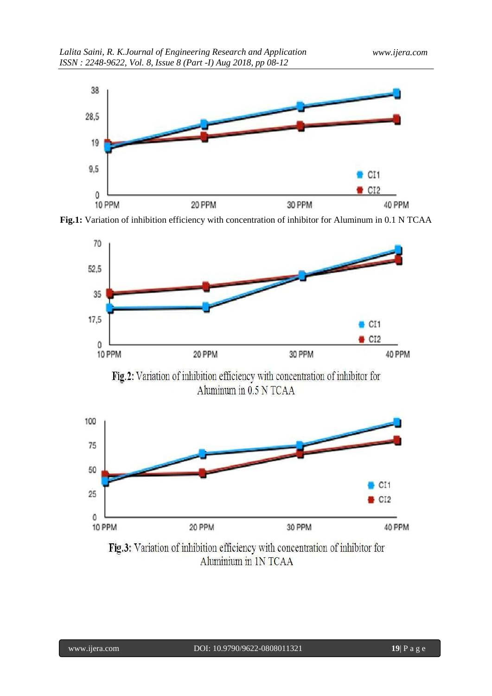

**Fig.1:** Variation of inhibition efficiency with concentration of inhibitor for Aluminum in 0.1 N TCAA



Fig.2: Variation of inhibition efficiency with concentration of inhibitor for Aluminum in 0.5 N TCAA



Fig.3: Variation of inhibition efficiency with concentration of inhibitor for Aluminium in 1N TCAA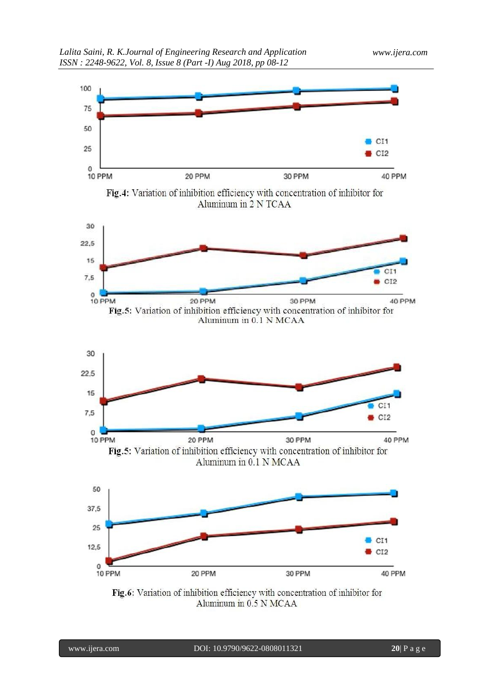

Fig.6: Variation of inhibition efficiency with concentration of inhibitor for Aluminum in 0.5 N MCAA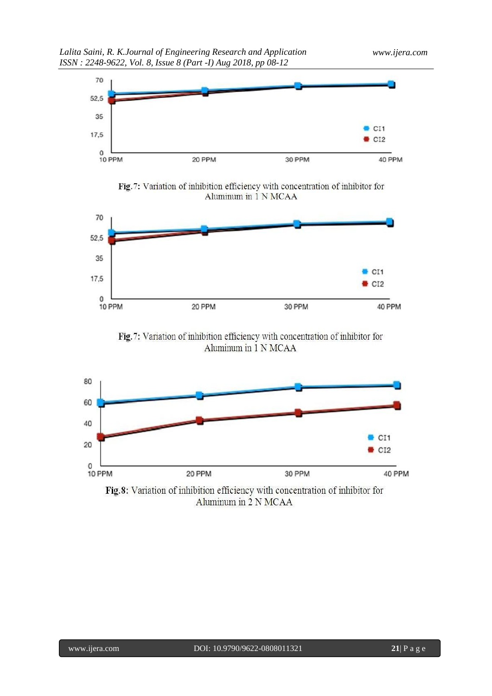

Fig.7: Variation of inhibition efficiency with concentration of inhibitor for Aluminum in 1 N MCAA



Fig.7: Variation of inhibition efficiency with concentration of inhibitor for Aluminum in 1 N MCAA



Fig.8: Variation of inhibition efficiency with concentration of inhibitor for Aluminum in 2 N MCAA